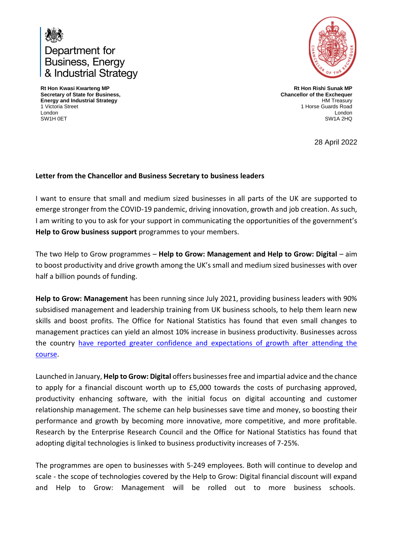

**Rt Hon Kwasi Kwarteng MP Secretary of State for Business, Energy and Industrial Strategy**  1 Victoria Street London SW1H 0ET



**Rt Hon Rishi Sunak MP Chancellor of the Exchequer** HM Treasury 1 Horse Guards Road London SW1A 2HQ

28 April 2022

## **Letter from the Chancellor and Business Secretary to business leaders**

I want to ensure that small and medium sized businesses in all parts of the UK are supported to emerge stronger from the COVID-19 pandemic, driving innovation, growth and job creation. As such, I am writing to you to ask for your support in communicating the opportunities of the government's **Help to Grow business support** programmes to your members.

The two Help to Grow programmes – **Help to Grow: Management and Help to Grow: Digital** – aim to boost productivity and drive growth among the UK's small and medium sized businesses with over half a billion pounds of funding.

**Help to Grow: Management** has been running since July 2021, providing business leaders with 90% subsidised management and leadership training from UK business schools, to help them learn new skills and boost profits. The Office for National Statistics has found that even small changes to management practices can yield an almost 10% increase in business productivity. Businesses across the country [have reported greater confidence and expectations of growth after attending the](https://eur02.safelinks.protection.outlook.com/?url=https%3A%2F%2Fwww.youtube.com%2Fplaylist%3Flist%3DPLkqQLHzQ282tOl_xBsoPZ9b3txhTDtia_&data=04%7C01%7Cegle.olivi%40beis.gov.uk%7C492fcaaea7ee4ace852708da0cc64963%7Ccbac700502c143ebb497e6492d1b2dd8%7C0%7C0%7C637836343164100899%7CUnknown%7CTWFpbGZsb3d8eyJWIjoiMC4wLjAwMDAiLCJQIjoiV2luMzIiLCJBTiI6Ik1haWwiLCJXVCI6Mn0%3D%7C3000&sdata=oyqLogW%2BGgNeRr4%2FMlpVwq8iO6P5A71QLwCVw1ZR0nw%3D&reserved=0)  [course.](https://eur02.safelinks.protection.outlook.com/?url=https%3A%2F%2Fwww.youtube.com%2Fplaylist%3Flist%3DPLkqQLHzQ282tOl_xBsoPZ9b3txhTDtia_&data=04%7C01%7Cegle.olivi%40beis.gov.uk%7C492fcaaea7ee4ace852708da0cc64963%7Ccbac700502c143ebb497e6492d1b2dd8%7C0%7C0%7C637836343164100899%7CUnknown%7CTWFpbGZsb3d8eyJWIjoiMC4wLjAwMDAiLCJQIjoiV2luMzIiLCJBTiI6Ik1haWwiLCJXVCI6Mn0%3D%7C3000&sdata=oyqLogW%2BGgNeRr4%2FMlpVwq8iO6P5A71QLwCVw1ZR0nw%3D&reserved=0)

Launched in January, **Help to Grow: Digital** offers businesses free and impartial advice and the chance to apply for a financial discount worth up to £5,000 towards the costs of purchasing approved, productivity enhancing software, with the initial focus on digital accounting and customer relationship management. The scheme can help businesses save time and money, so boosting their performance and growth by becoming more innovative, more competitive, and more profitable. Research by the Enterprise Research Council and the Office for National Statistics has found that adopting digital technologies is linked to business productivity increases of 7-25%.

The programmes are open to businesses with 5-249 employees. Both will continue to develop and scale - the scope of technologies covered by the Help to Grow: Digital financial discount will expand and Help to Grow: Management will be rolled out to more business schools.